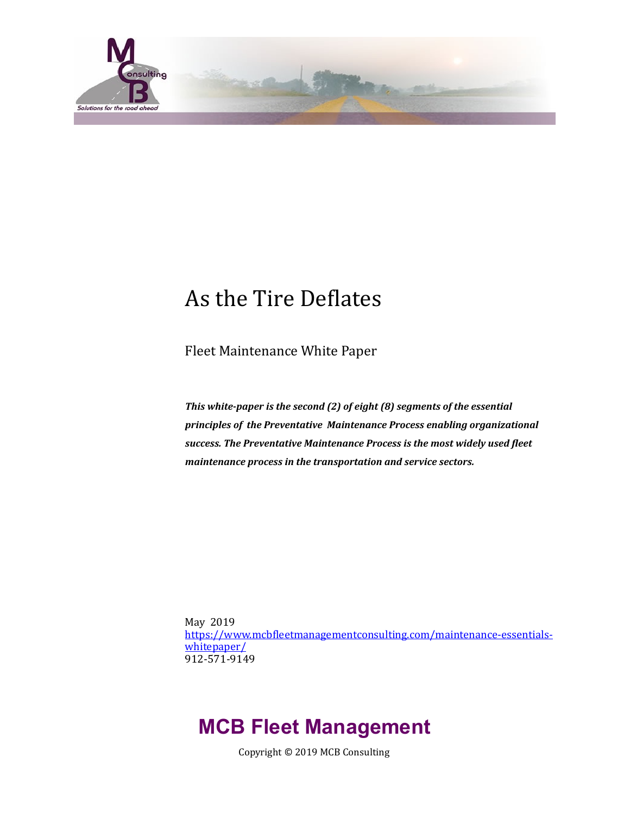

# As the Tire Deflates

Fleet Maintenance White Paper

This white-paper is the second (2) of eight (8) segments of the essential principles of the Preventative Maintenance Process enabling organizational success. The Preventative Maintenance Process is the most widely used fleet *maintenance process in the transportation and service sectors.* 

May 2019 https://www.mcbfleetmanagementconsulting.com/maintenance-essentials[whitepaper/](https://www.mcbfleetmanagementconsulting.com/maintenance-essentials-whitepaper/) 912-571-9149 

# **MCB Fleet Management**

Copyright © 2019 MCB Consulting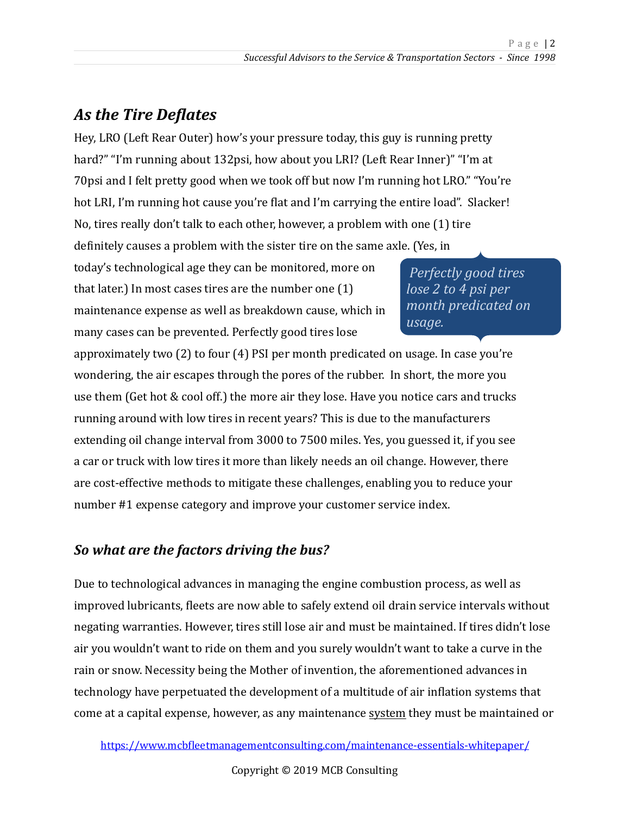## As the Tire Deflates

Hey, LRO (Left Rear Outer) how's your pressure today, this guy is running pretty hard?" "I'm running about 132psi, how about you LRI? (Left Rear Inner)" "I'm at 70psi and I felt pretty good when we took off but now I'm running hot LRO." "You're hot LRI, I'm running hot cause you're flat and I'm carrying the entire load". Slacker! No, tires really don't talk to each other, however, a problem with one (1) tire definitely causes a problem with the sister tire on the same axle. (Yes, in

today's technological age they can be monitored, more on that later.) In most cases tires are the number one  $(1)$ maintenance expense as well as breakdown cause, which in many cases can be prevented. Perfectly good tires lose

*Perfectly good tires lose 2 to 4 psi per month predicated on usage.* 

approximately two  $(2)$  to four  $(4)$  PSI per month predicated on usage. In case you're wondering, the air escapes through the pores of the rubber. In short, the more you use them (Get hot & cool off.) the more air they lose. Have you notice cars and trucks running around with low tires in recent years? This is due to the manufacturers extending oil change interval from 3000 to 7500 miles. Yes, you guessed it, if you see a car or truck with low tires it more than likely needs an oil change. However, there are cost-effective methods to mitigate these challenges, enabling you to reduce your number #1 expense category and improve your customer service index.

#### So what are the factors driving the bus?

Due to technological advances in managing the engine combustion process, as well as improved lubricants, fleets are now able to safely extend oil drain service intervals without negating warranties. However, tires still lose air and must be maintained. If tires didn't lose air you wouldn't want to ride on them and you surely wouldn't want to take a curve in the rain or snow. Necessity being the Mother of invention, the aforementioned advances in technology have perpetuated the development of a multitude of air inflation systems that come at a capital expense, however, as any maintenance system they must be maintained or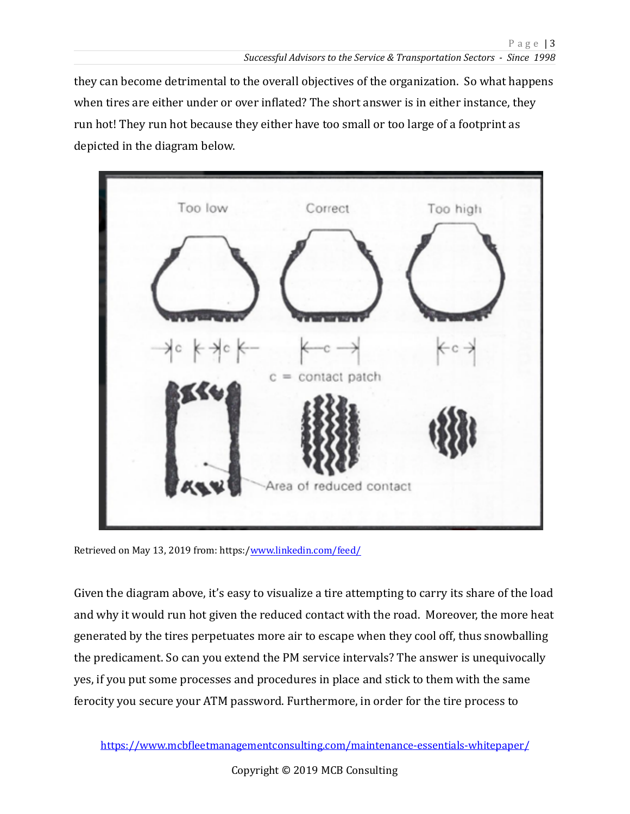they can become detrimental to the overall objectives of the organization. So what happens when tires are either under or over inflated? The short answer is in either instance, they run hot! They run hot because they either have too small or too large of a footprint as depicted in the diagram below.



Retrieved on May 13, 2019 from: https:[/www.linkedin.com/feed/](http://www.linkedin.com/feed/)

Given the diagram above, it's easy to visualize a tire attempting to carry its share of the load and why it would run hot given the reduced contact with the road. Moreover, the more heat generated by the tires perpetuates more air to escape when they cool off, thus snowballing the predicament. So can you extend the PM service intervals? The answer is unequivocally yes, if you put some processes and procedures in place and stick to them with the same ferocity you secure your ATM password. Furthermore, in order for the tire process to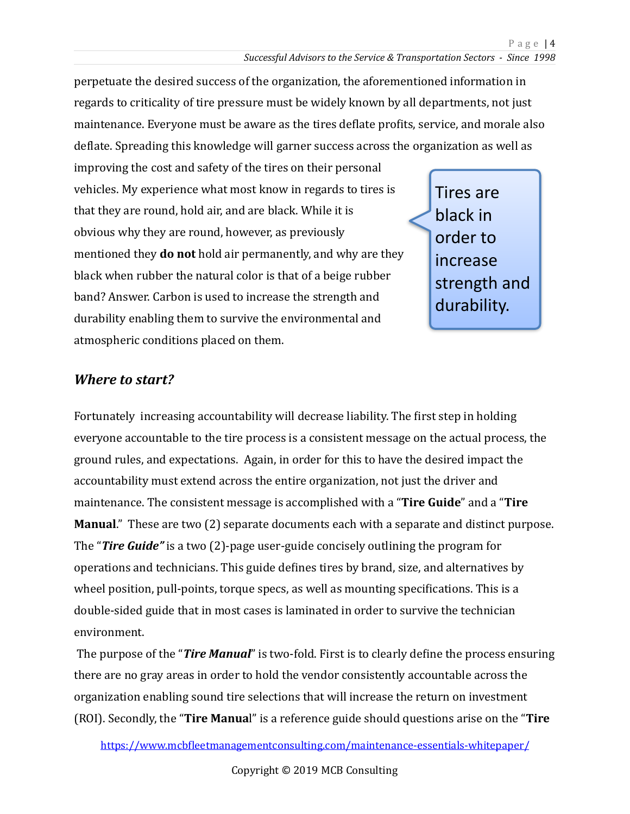perpetuate the desired success of the organization, the aforementioned information in regards to criticality of tire pressure must be widely known by all departments, not just maintenance. Everyone must be aware as the tires deflate profits, service, and morale also deflate. Spreading this knowledge will garner success across the organization as well as

improving the cost and safety of the tires on their personal vehicles. My experience what most know in regards to tires is that they are round, hold air, and are black. While it is obvious why they are round, however, as previously mentioned they **do not** hold air permanently, and why are they black when rubber the natural color is that of a beige rubber band? Answer. Carbon is used to increase the strength and durability enabling them to survive the environmental and atmospheric conditions placed on them.

Tires are black in order to increase strength and durability.

#### *Where to start?*

Fortunately increasing accountability will decrease liability. The first step in holding everyone accountable to the tire process is a consistent message on the actual process, the ground rules, and expectations. Again, in order for this to have the desired impact the accountability must extend across the entire organization, not just the driver and maintenance. The consistent message is accomplished with a "Tire Guide" and a "Tire **Manual.**" These are two (2) separate documents each with a separate and distinct purpose. The "**Tire Guide"** is a two (2)-page user-guide concisely outlining the program for operations and technicians. This guide defines tires by brand, size, and alternatives by wheel position, pull-points, torque specs, as well as mounting specifications. This is a double-sided guide that in most cases is laminated in order to survive the technician environment. 

The purpose of the "**Tire Manual**" is two-fold. First is to clearly define the process ensuring there are no gray areas in order to hold the vendor consistently accountable across the organization enabling sound tire selections that will increase the return on investment (ROI). Secondly, the "**Tire Manua**l" is a reference guide should questions arise on the "**Tire**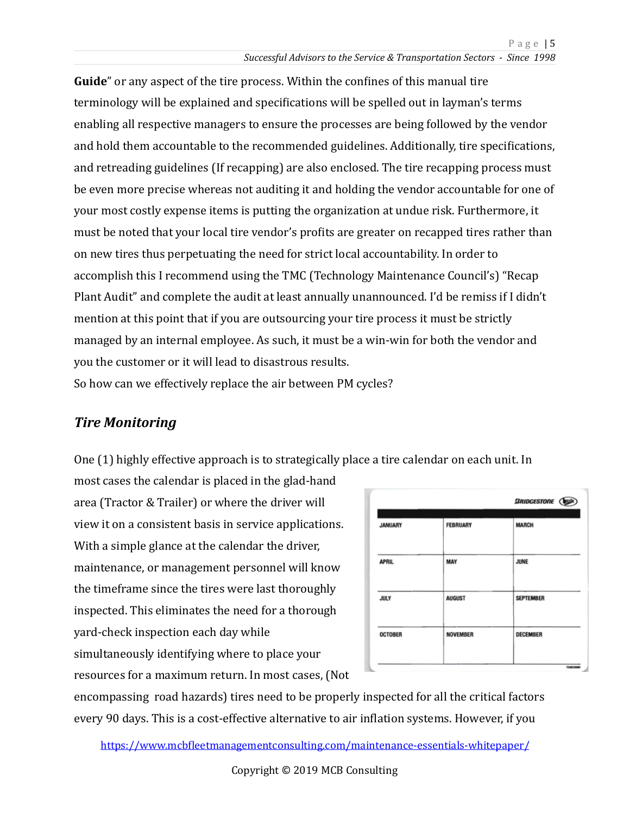**Guide**" or any aspect of the tire process. Within the confines of this manual tire terminology will be explained and specifications will be spelled out in layman's terms enabling all respective managers to ensure the processes are being followed by the vendor and hold them accountable to the recommended guidelines. Additionally, tire specifications, and retreading guidelines (If recapping) are also enclosed. The tire recapping process must be even more precise whereas not auditing it and holding the vendor accountable for one of your most costly expense items is putting the organization at undue risk. Furthermore, it must be noted that your local tire vendor's profits are greater on recapped tires rather than on new tires thus perpetuating the need for strict local accountability. In order to accomplish this I recommend using the TMC (Technology Maintenance Council's) "Recap Plant Audit" and complete the audit at least annually unannounced. I'd be remiss if I didn't mention at this point that if you are outsourcing your tire process it must be strictly managed by an internal employee. As such, it must be a win-win for both the vendor and you the customer or it will lead to disastrous results. So how can we effectively replace the air between PM cycles?

#### **Tire Monitoring**

One (1) highly effective approach is to strategically place a tire calendar on each unit. In

most cases the calendar is placed in the glad-hand area (Tractor & Trailer) or where the driver will view it on a consistent basis in service applications. With a simple glance at the calendar the driver, maintenance, or management personnel will know the timeframe since the tires were last thoroughly inspected. This eliminates the need for a thorough yard-check inspection each day while simultaneously identifying where to place your resources for a maximum return. In most cases, (Not

|                |                 | <b>SRIDGESTONE</b> ( |
|----------------|-----------------|----------------------|
| <b>JANUARY</b> | <b>FEBRUARY</b> | <b>MARCH</b>         |
| <b>APRIL</b>   | MAY             | <b>JUNE</b>          |
| <b>JULY</b>    | <b>AUGUST</b>   | <b>SEPTEMBER</b>     |
| <b>OCTOBER</b> | <b>NOVEMBER</b> | DECEMBER             |

encompassing road hazards) tires need to be properly inspected for all the critical factors every 90 days. This is a cost-effective alternative to air inflation systems. However, if you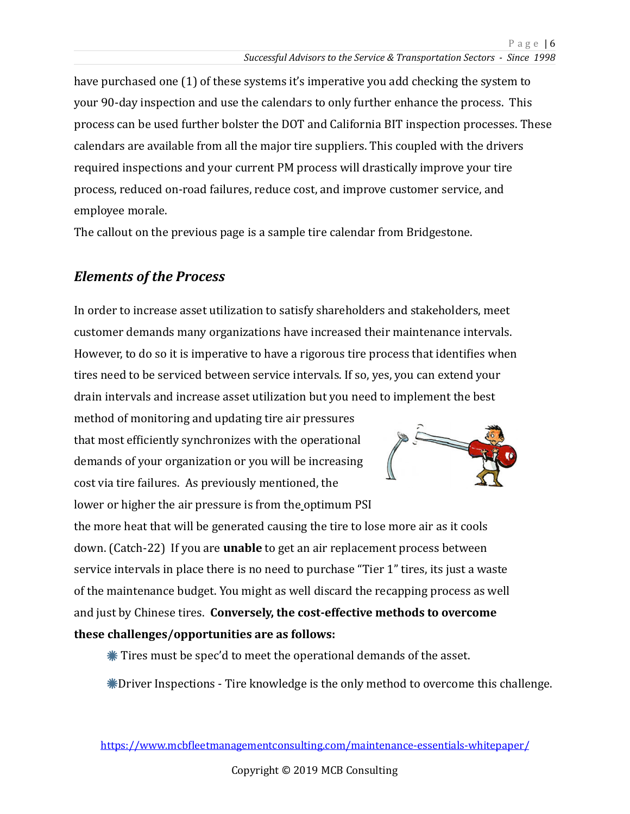have purchased one (1) of these systems it's imperative you add checking the system to your 90-day inspection and use the calendars to only further enhance the process. This process can be used further bolster the DOT and California BIT inspection processes. These calendars are available from all the major tire suppliers. This coupled with the drivers required inspections and your current PM process will drastically improve your tire process, reduced on-road failures, reduce cost, and improve customer service, and employee morale.

The callout on the previous page is a sample tire calendar from Bridgestone.

### *Elements of the Process*

In order to increase asset utilization to satisfy shareholders and stakeholders, meet customer demands many organizations have increased their maintenance intervals. However, to do so it is imperative to have a rigorous tire process that identifies when tires need to be serviced between service intervals. If so, yes, you can extend your drain intervals and increase asset utilization but you need to implement the best

method of monitoring and updating tire air pressures that most efficiently synchronizes with the operational demands of your organization or you will be increasing cost via tire failures. As previously mentioned, the lower or higher the air pressure is from the optimum PSI



the more heat that will be generated causing the tire to lose more air as it cools down. (Catch-22) If you are **unable** to get an air replacement process between service intervals in place there is no need to purchase "Tier 1" tires, its just a waste of the maintenance budget. You might as well discard the recapping process as well and just by Chinese tires. **Conversely, the cost-effective methods to overcome** these challenges/opportunities are as follows:

 $*$  Tires must be spec'd to meet the operational demands of the asset.

 $*$ Driver Inspections - Tire knowledge is the only method to overcome this challenge.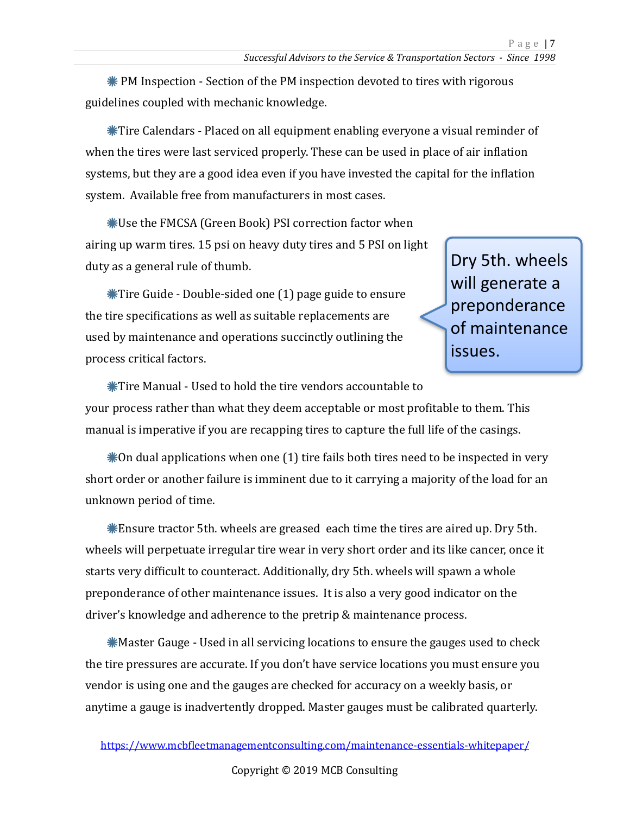$*$  PM Inspection - Section of the PM inspection devoted to tires with rigorous guidelines coupled with mechanic knowledge.

\Tire Calendars - Placed on all equipment enabling everyone a visual reminder of when the tires were last serviced properly. These can be used in place of air inflation systems, but they are a good idea even if you have invested the capital for the inflation system. Available free from manufacturers in most cases.

**\*Use the FMCSA (Green Book) PSI correction factor when** airing up warm tires. 15 psi on heavy duty tires and 5 PSI on light duty as a general rule of thumb.

 $*$ Tire Guide - Double-sided one (1) page guide to ensure the tire specifications as well as suitable replacements are used by maintenance and operations succinctly outlining the process critical factors.

Dry 5th. wheels will generate a preponderance of maintenance issues. 

 $*$ Tire Manual - Used to hold the tire vendors accountable to your process rather than what they deem acceptable or most profitable to them. This manual is imperative if you are recapping tires to capture the full life of the casings.

 $*$ On dual applications when one (1) tire fails both tires need to be inspected in very short order or another failure is imminent due to it carrying a majority of the load for an unknown period of time. 

**\*Ensure tractor 5th.** wheels are greased each time the tires are aired up. Dry 5th. wheels will perpetuate irregular tire wear in very short order and its like cancer, once it starts very difficult to counteract. Additionally, dry 5th. wheels will spawn a whole preponderance of other maintenance issues. It is also a very good indicator on the driver's knowledge and adherence to the pretrip & maintenance process.

**\*** Master Gauge - Used in all servicing locations to ensure the gauges used to check the tire pressures are accurate. If you don't have service locations you must ensure you vendor is using one and the gauges are checked for accuracy on a weekly basis, or anytime a gauge is inadvertently dropped. Master gauges must be calibrated quarterly.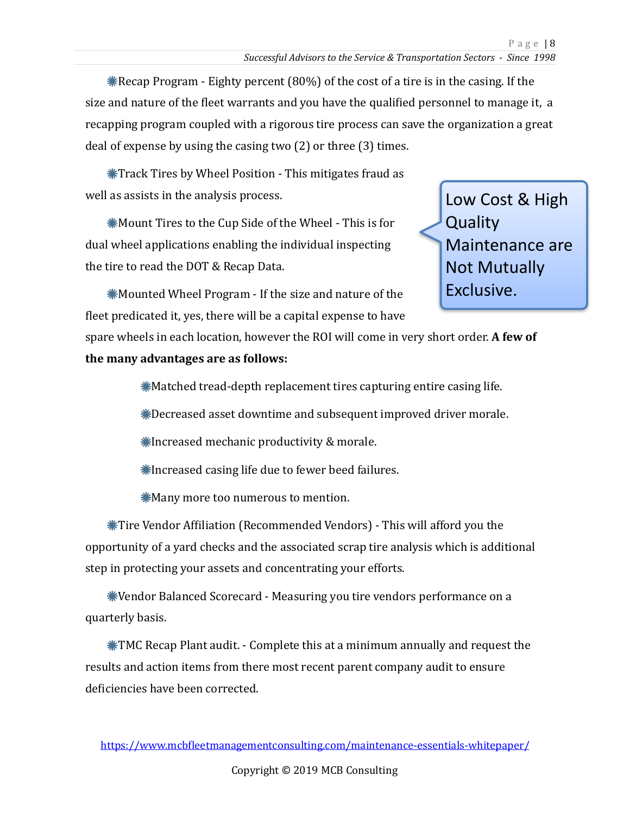\* Recap Program - Eighty percent  $(80%)$  of the cost of a tire is in the casing. If the size and nature of the fleet warrants and you have the qualified personnel to manage it, a recapping program coupled with a rigorous tire process can save the organization a great deal of expense by using the casing two  $(2)$  or three  $(3)$  times.

**\*Track Tires by Wheel Position - This mitigates fraud as** well as assists in the analysis process.

**\*Mount Tires to the Cup Side of the Wheel - This is for** dual wheel applications enabling the individual inspecting the tire to read the DOT & Recap Data.

Low Cost & High **Quality** Maintenance are **Not Mutually** Exclusive.

 $*$ Mounted Wheel Program - If the size and nature of the fleet predicated it, yes, there will be a capital expense to have

spare wheels in each location, however the ROI will come in very short order. A few of **the many advantages are as follows:** 

 $*$ Matched tread-depth replacement tires capturing entire casing life.

**\*Decreased asset downtime and subsequent improved driver morale.** 

 $*$ Increased mechanic productivity & morale.

 $*$ Increased casing life due to fewer beed failures.

 $*$ Many more too numerous to mention.

**\*Tire Vendor Affiliation (Recommended Vendors)** - This will afford you the opportunity of a yard checks and the associated scrap tire analysis which is additional step in protecting your assets and concentrating your efforts.

**\*Vendor Balanced Scorecard - Measuring you tire vendors performance on a** quarterly basis. 

 $\textbf{M}$ TMC Recap Plant audit. - Complete this at a minimum annually and request the results and action items from there most recent parent company audit to ensure deficiencies have been corrected.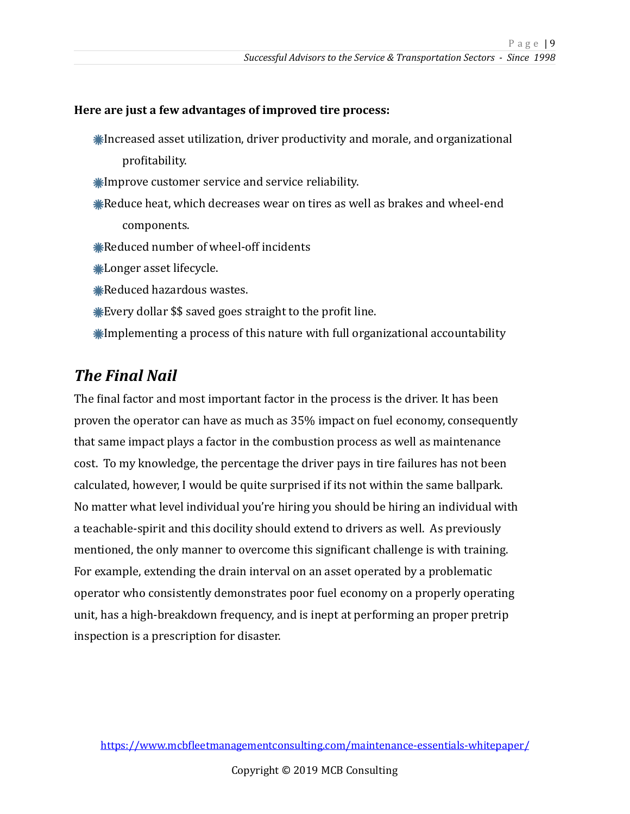#### Here are just a few advantages of improved tire process:

- **K** Increased asset utilization, driver productivity and morale, and organizational profitability.
- **Kurtorian** Eustomer service and service reliability.
- **Examber 20** Feat, which decreases wear on tires as well as brakes and wheel-end components.
- **Keduced number of wheel-off incidents**
- **\*Longer** asset lifecycle.
- **Keduced hazardous wastes.**
- $*$  Every dollar  $\$$  saved goes straight to the profit line.
- $*$ Implementing a process of this nature with full organizational accountability

### **The Final Nail**

The final factor and most important factor in the process is the driver. It has been proven the operator can have as much as 35% impact on fuel economy, consequently that same impact plays a factor in the combustion process as well as maintenance cost. To my knowledge, the percentage the driver pays in tire failures has not been calculated, however, I would be quite surprised if its not within the same ballpark. No matter what level individual you're hiring you should be hiring an individual with a teachable-spirit and this docility should extend to drivers as well. As previously mentioned, the only manner to overcome this significant challenge is with training. For example, extending the drain interval on an asset operated by a problematic operator who consistently demonstrates poor fuel economy on a properly operating unit, has a high-breakdown frequency, and is inept at performing an proper pretrip inspection is a prescription for disaster.